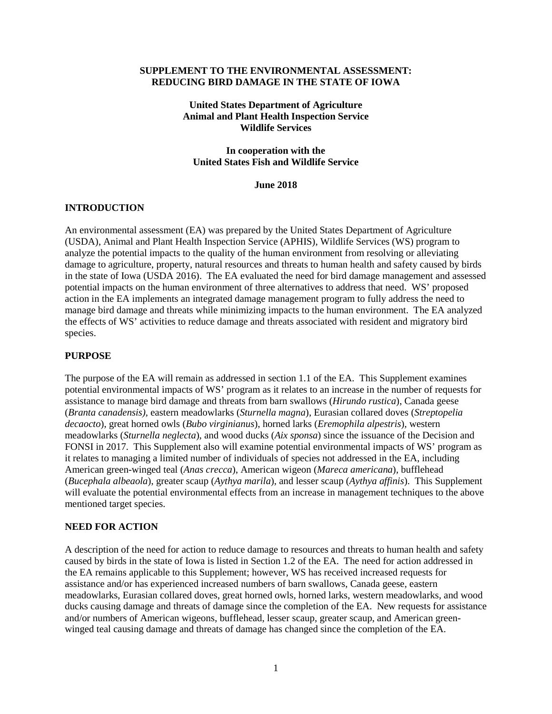#### **SUPPLEMENT TO THE ENVIRONMENTAL ASSESSMENT: REDUCING BIRD DAMAGE IN THE STATE OF IOWA**

#### **United States Department of Agriculture Animal and Plant Health Inspection Service Wildlife Services**

#### **In cooperation with the United States Fish and Wildlife Service**

#### **June 2018**

#### **INTRODUCTION**

An environmental assessment (EA) was prepared by the United States Department of Agriculture (USDA), Animal and Plant Health Inspection Service (APHIS), Wildlife Services (WS) program to analyze the potential impacts to the quality of the human environment from resolving or alleviating damage to agriculture, property, natural resources and threats to human health and safety caused by birds in the state of Iowa (USDA 2016). The EA evaluated the need for bird damage management and assessed potential impacts on the human environment of three alternatives to address that need. WS' proposed action in the EA implements an integrated damage management program to fully address the need to manage bird damage and threats while minimizing impacts to the human environment. The EA analyzed the effects of WS' activities to reduce damage and threats associated with resident and migratory bird species.

#### **PURPOSE**

The purpose of the EA will remain as addressed in section 1.1 of the EA. This Supplement examines potential environmental impacts of WS' program as it relates to an increase in the number of requests for assistance to manage bird damage and threats from barn swallows (*Hirundo rustica*), Canada geese (*Branta canadensis),* eastern meadowlarks (*Sturnella magna*), Eurasian collared doves (*Streptopelia decaocto*), great horned owls (*Bubo virginianus*), horned larks (*Eremophila alpestris*), western meadowlarks (*Sturnella neglecta*), and wood ducks (*Aix sponsa*) since the issuance of the Decision and FONSI in 2017. This Supplement also will examine potential environmental impacts of WS' program as it relates to managing a limited number of individuals of species not addressed in the EA, including American green-winged teal (*Anas crecca*), American wigeon (*Mareca americana*), bufflehead (*Bucephala albeaola*), greater scaup (*Aythya marila*), and lesser scaup (*Aythya affinis*). This Supplement will evaluate the potential environmental effects from an increase in management techniques to the above mentioned target species.

#### **NEED FOR ACTION**

A description of the need for action to reduce damage to resources and threats to human health and safety caused by birds in the state of Iowa is listed in Section 1.2 of the EA. The need for action addressed in the EA remains applicable to this Supplement; however, WS has received increased requests for assistance and/or has experienced increased numbers of barn swallows, Canada geese, eastern meadowlarks, Eurasian collared doves, great horned owls, horned larks, western meadowlarks, and wood ducks causing damage and threats of damage since the completion of the EA. New requests for assistance and/or numbers of American wigeons, bufflehead, lesser scaup, greater scaup, and American greenwinged teal causing damage and threats of damage has changed since the completion of the EA.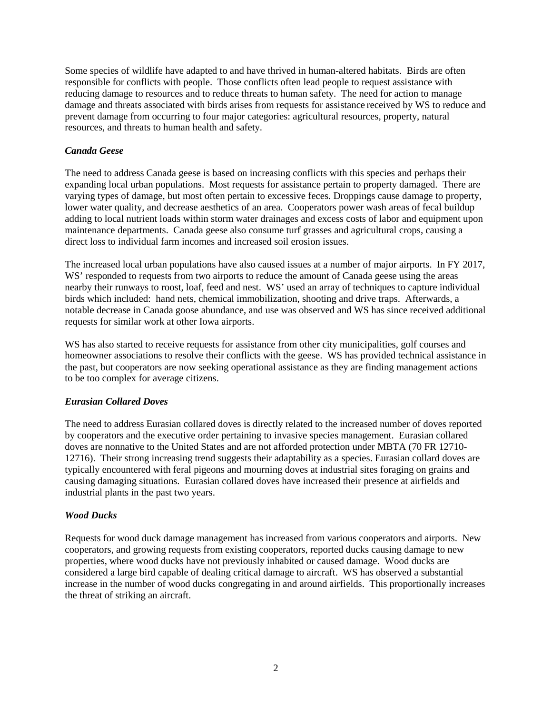Some species of wildlife have adapted to and have thrived in human-altered habitats. Birds are often responsible for conflicts with people. Those conflicts often lead people to request assistance with reducing damage to resources and to reduce threats to human safety. The need for action to manage damage and threats associated with birds arises from requests for assistance received by WS to reduce and prevent damage from occurring to four major categories: agricultural resources, property, natural resources, and threats to human health and safety.

## *Canada Geese*

The need to address Canada geese is based on increasing conflicts with this species and perhaps their expanding local urban populations. Most requests for assistance pertain to property damaged. There are varying types of damage, but most often pertain to excessive feces. Droppings cause damage to property, lower water quality, and decrease aesthetics of an area. Cooperators power wash areas of fecal buildup adding to local nutrient loads within storm water drainages and excess costs of labor and equipment upon maintenance departments. Canada geese also consume turf grasses and agricultural crops, causing a direct loss to individual farm incomes and increased soil erosion issues.

The increased local urban populations have also caused issues at a number of major airports. In FY 2017, WS' responded to requests from two airports to reduce the amount of Canada geese using the areas nearby their runways to roost, loaf, feed and nest. WS' used an array of techniques to capture individual birds which included: hand nets, chemical immobilization, shooting and drive traps. Afterwards, a notable decrease in Canada goose abundance, and use was observed and WS has since received additional requests for similar work at other Iowa airports.

WS has also started to receive requests for assistance from other city municipalities, golf courses and homeowner associations to resolve their conflicts with the geese. WS has provided technical assistance in the past, but cooperators are now seeking operational assistance as they are finding management actions to be too complex for average citizens.

# *Eurasian Collared Doves*

The need to address Eurasian collared doves is directly related to the increased number of doves reported by cooperators and the executive order pertaining to invasive species management. Eurasian collared doves are nonnative to the United States and are not afforded protection under MBTA (70 FR 12710- 12716). Their strong increasing trend suggests their adaptability as a species. Eurasian collard doves are typically encountered with feral pigeons and mourning doves at industrial sites foraging on grains and causing damaging situations. Eurasian collared doves have increased their presence at airfields and industrial plants in the past two years.

# *Wood Ducks*

Requests for wood duck damage management has increased from various cooperators and airports. New cooperators, and growing requests from existing cooperators, reported ducks causing damage to new properties, where wood ducks have not previously inhabited or caused damage. Wood ducks are considered a large bird capable of dealing critical damage to aircraft. WS has observed a substantial increase in the number of wood ducks congregating in and around airfields. This proportionally increases the threat of striking an aircraft.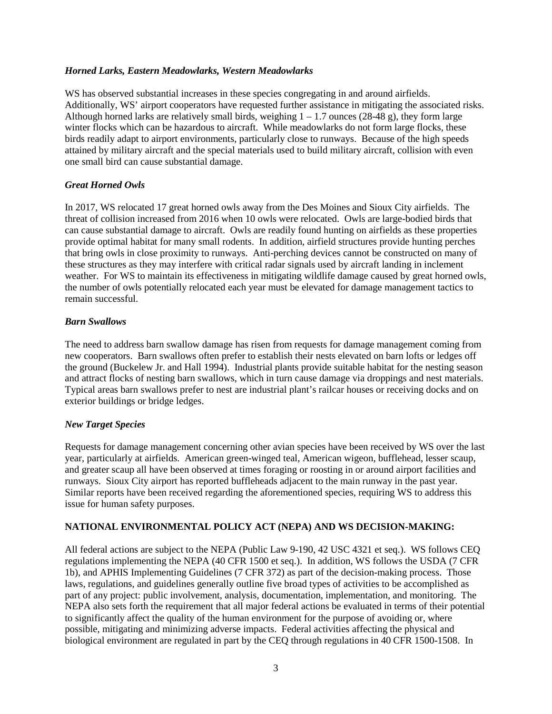#### *Horned Larks, Eastern Meadowlarks, Western Meadowlarks*

WS has observed substantial increases in these species congregating in and around airfields. Additionally, WS' airport cooperators have requested further assistance in mitigating the associated risks. Although horned larks are relatively small birds, weighing  $1 - 1.7$  ounces (28-48 g), they form large winter flocks which can be hazardous to aircraft. While meadowlarks do not form large flocks, these birds readily adapt to airport environments, particularly close to runways. Because of the high speeds attained by military aircraft and the special materials used to build military aircraft, collision with even one small bird can cause substantial damage.

### *Great Horned Owls*

In 2017, WS relocated 17 great horned owls away from the Des Moines and Sioux City airfields. The threat of collision increased from 2016 when 10 owls were relocated. Owls are large-bodied birds that can cause substantial damage to aircraft. Owls are readily found hunting on airfields as these properties provide optimal habitat for many small rodents. In addition, airfield structures provide hunting perches that bring owls in close proximity to runways. Anti-perching devices cannot be constructed on many of these structures as they may interfere with critical radar signals used by aircraft landing in inclement weather. For WS to maintain its effectiveness in mitigating wildlife damage caused by great horned owls, the number of owls potentially relocated each year must be elevated for damage management tactics to remain successful.

#### *Barn Swallows*

The need to address barn swallow damage has risen from requests for damage management coming from new cooperators. Barn swallows often prefer to establish their nests elevated on barn lofts or ledges off the ground (Buckelew Jr. and Hall 1994). Industrial plants provide suitable habitat for the nesting season and attract flocks of nesting barn swallows, which in turn cause damage via droppings and nest materials. Typical areas barn swallows prefer to nest are industrial plant's railcar houses or receiving docks and on exterior buildings or bridge ledges.

### *New Target Species*

Requests for damage management concerning other avian species have been received by WS over the last year, particularly at airfields. American green-winged teal, American wigeon, bufflehead, lesser scaup, and greater scaup all have been observed at times foraging or roosting in or around airport facilities and runways. Sioux City airport has reported buffleheads adjacent to the main runway in the past year. Similar reports have been received regarding the aforementioned species, requiring WS to address this issue for human safety purposes.

### **NATIONAL ENVIRONMENTAL POLICY ACT (NEPA) AND WS DECISION-MAKING:**

All federal actions are subject to the NEPA (Public Law 9-190, 42 USC 4321 et seq.). WS follows CEQ regulations implementing the NEPA (40 CFR 1500 et seq.). In addition, WS follows the USDA (7 CFR 1b), and APHIS Implementing Guidelines (7 CFR 372) as part of the decision-making process. Those laws, regulations, and guidelines generally outline five broad types of activities to be accomplished as part of any project: public involvement, analysis, documentation, implementation, and monitoring. The NEPA also sets forth the requirement that all major federal actions be evaluated in terms of their potential to significantly affect the quality of the human environment for the purpose of avoiding or, where possible, mitigating and minimizing adverse impacts. Federal activities affecting the physical and biological environment are regulated in part by the CEQ through regulations in 40 CFR 1500-1508. In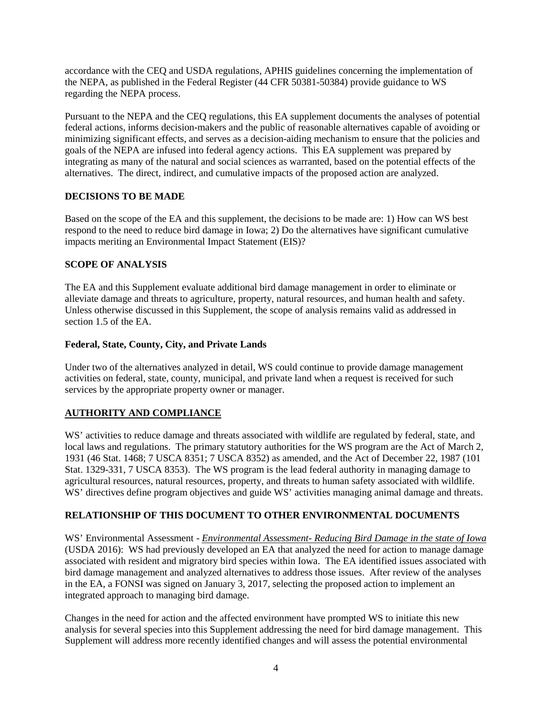accordance with the CEQ and USDA regulations, APHIS guidelines concerning the implementation of the NEPA, as published in the Federal Register (44 CFR 50381-50384) provide guidance to WS regarding the NEPA process.

Pursuant to the NEPA and the CEQ regulations, this EA supplement documents the analyses of potential federal actions, informs decision-makers and the public of reasonable alternatives capable of avoiding or minimizing significant effects, and serves as a decision-aiding mechanism to ensure that the policies and goals of the NEPA are infused into federal agency actions. This EA supplement was prepared by integrating as many of the natural and social sciences as warranted, based on the potential effects of the alternatives. The direct, indirect, and cumulative impacts of the proposed action are analyzed.

## **DECISIONS TO BE MADE**

Based on the scope of the EA and this supplement, the decisions to be made are: 1) How can WS best respond to the need to reduce bird damage in Iowa; 2) Do the alternatives have significant cumulative impacts meriting an Environmental Impact Statement (EIS)?

## **SCOPE OF ANALYSIS**

The EA and this Supplement evaluate additional bird damage management in order to eliminate or alleviate damage and threats to agriculture, property, natural resources, and human health and safety. Unless otherwise discussed in this Supplement, the scope of analysis remains valid as addressed in section 1.5 of the EA.

### **Federal, State, County, City, and Private Lands**

Under two of the alternatives analyzed in detail, WS could continue to provide damage management activities on federal, state, county, municipal, and private land when a request is received for such services by the appropriate property owner or manager.

# **AUTHORITY AND COMPLIANCE**

WS' activities to reduce damage and threats associated with wildlife are regulated by federal, state, and local laws and regulations. The primary statutory authorities for the WS program are the Act of March 2, 1931 (46 Stat. 1468; 7 USCA 8351; 7 USCA 8352) as amended, and the Act of December 22, 1987 (101 Stat. 1329-331, 7 USCA 8353). The WS program is the lead federal authority in managing damage to agricultural resources, natural resources, property, and threats to human safety associated with wildlife. WS' directives define program objectives and guide WS' activities managing animal damage and threats.

# **RELATIONSHIP OF THIS DOCUMENT TO OTHER ENVIRONMENTAL DOCUMENTS**

WS' Environmental Assessment - *Environmental Assessment- Reducing Bird Damage in the state of Iowa* (USDA 2016): WS had previously developed an EA that analyzed the need for action to manage damage associated with resident and migratory bird species within Iowa. The EA identified issues associated with bird damage management and analyzed alternatives to address those issues. After review of the analyses in the EA, a FONSI was signed on January 3, 2017, selecting the proposed action to implement an integrated approach to managing bird damage.

Changes in the need for action and the affected environment have prompted WS to initiate this new analysis for several species into this Supplement addressing the need for bird damage management. This Supplement will address more recently identified changes and will assess the potential environmental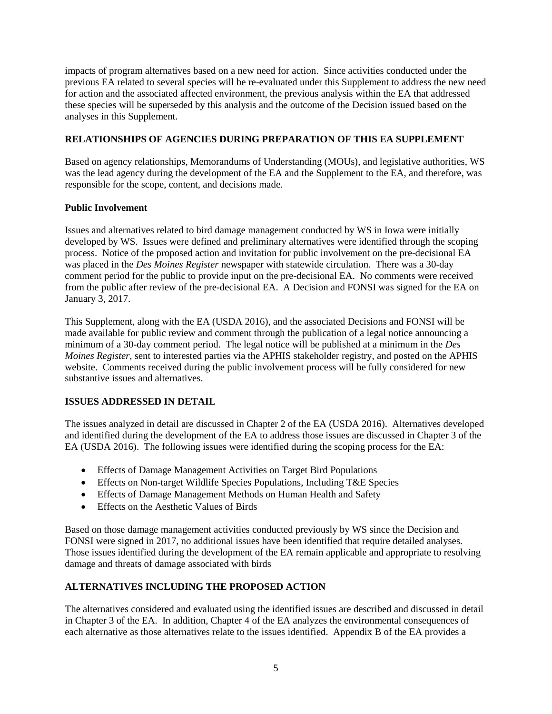impacts of program alternatives based on a new need for action. Since activities conducted under the previous EA related to several species will be re-evaluated under this Supplement to address the new need for action and the associated affected environment, the previous analysis within the EA that addressed these species will be superseded by this analysis and the outcome of the Decision issued based on the analyses in this Supplement.

# **RELATIONSHIPS OF AGENCIES DURING PREPARATION OF THIS EA SUPPLEMENT**

Based on agency relationships, Memorandums of Understanding (MOUs), and legislative authorities, WS was the lead agency during the development of the EA and the Supplement to the EA, and therefore, was responsible for the scope, content, and decisions made.

# **Public Involvement**

Issues and alternatives related to bird damage management conducted by WS in Iowa were initially developed by WS. Issues were defined and preliminary alternatives were identified through the scoping process. Notice of the proposed action and invitation for public involvement on the pre-decisional EA was placed in the *Des Moines Register* newspaper with statewide circulation. There was a 30-day comment period for the public to provide input on the pre-decisional EA. No comments were received from the public after review of the pre-decisional EA. A Decision and FONSI was signed for the EA on January 3, 2017.

This Supplement, along with the EA (USDA 2016), and the associated Decisions and FONSI will be made available for public review and comment through the publication of a legal notice announcing a minimum of a 30-day comment period. The legal notice will be published at a minimum in the *Des Moines Register*, sent to interested parties via the APHIS stakeholder registry, and posted on the APHIS website. Comments received during the public involvement process will be fully considered for new substantive issues and alternatives.

# **ISSUES ADDRESSED IN DETAIL**

The issues analyzed in detail are discussed in Chapter 2 of the EA (USDA 2016). Alternatives developed and identified during the development of the EA to address those issues are discussed in Chapter 3 of the EA (USDA 2016). The following issues were identified during the scoping process for the EA:

- Effects of Damage Management Activities on Target Bird Populations
- Effects on Non-target Wildlife Species Populations, Including T&E Species
- Effects of Damage Management Methods on Human Health and Safety
- Effects on the Aesthetic Values of Birds

Based on those damage management activities conducted previously by WS since the Decision and FONSI were signed in 2017, no additional issues have been identified that require detailed analyses. Those issues identified during the development of the EA remain applicable and appropriate to resolving damage and threats of damage associated with birds

# **ALTERNATIVES INCLUDING THE PROPOSED ACTION**

The alternatives considered and evaluated using the identified issues are described and discussed in detail in Chapter 3 of the EA. In addition, Chapter 4 of the EA analyzes the environmental consequences of each alternative as those alternatives relate to the issues identified. Appendix B of the EA provides a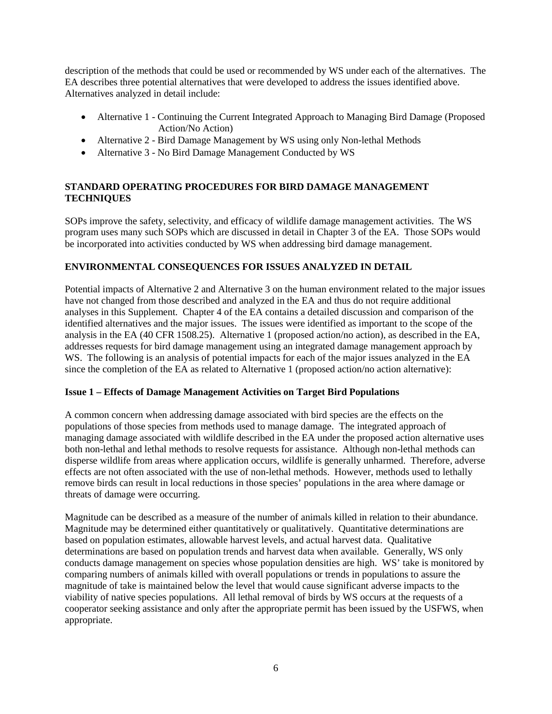description of the methods that could be used or recommended by WS under each of the alternatives. The EA describes three potential alternatives that were developed to address the issues identified above. Alternatives analyzed in detail include:

- Alternative 1 Continuing the Current Integrated Approach to Managing Bird Damage (Proposed Action/No Action)
- Alternative 2 Bird Damage Management by WS using only Non-lethal Methods
- Alternative 3 No Bird Damage Management Conducted by WS

# **STANDARD OPERATING PROCEDURES FOR BIRD DAMAGE MANAGEMENT TECHNIQUES**

SOPs improve the safety, selectivity, and efficacy of wildlife damage management activities. The WS program uses many such SOPs which are discussed in detail in Chapter 3 of the EA. Those SOPs would be incorporated into activities conducted by WS when addressing bird damage management.

# **ENVIRONMENTAL CONSEQUENCES FOR ISSUES ANALYZED IN DETAIL**

Potential impacts of Alternative 2 and Alternative 3 on the human environment related to the major issues have not changed from those described and analyzed in the EA and thus do not require additional analyses in this Supplement. Chapter 4 of the EA contains a detailed discussion and comparison of the identified alternatives and the major issues. The issues were identified as important to the scope of the analysis in the EA (40 CFR 1508.25). Alternative 1 (proposed action/no action), as described in the EA, addresses requests for bird damage management using an integrated damage management approach by WS. The following is an analysis of potential impacts for each of the major issues analyzed in the EA since the completion of the EA as related to Alternative 1 (proposed action/no action alternative):

# **Issue 1 – Effects of Damage Management Activities on Target Bird Populations**

A common concern when addressing damage associated with bird species are the effects on the populations of those species from methods used to manage damage. The integrated approach of managing damage associated with wildlife described in the EA under the proposed action alternative uses both non-lethal and lethal methods to resolve requests for assistance. Although non-lethal methods can disperse wildlife from areas where application occurs, wildlife is generally unharmed. Therefore, adverse effects are not often associated with the use of non-lethal methods. However, methods used to lethally remove birds can result in local reductions in those species' populations in the area where damage or threats of damage were occurring.

Magnitude can be described as a measure of the number of animals killed in relation to their abundance. Magnitude may be determined either quantitatively or qualitatively. Quantitative determinations are based on population estimates, allowable harvest levels, and actual harvest data. Qualitative determinations are based on population trends and harvest data when available. Generally, WS only conducts damage management on species whose population densities are high. WS' take is monitored by comparing numbers of animals killed with overall populations or trends in populations to assure the magnitude of take is maintained below the level that would cause significant adverse impacts to the viability of native species populations. All lethal removal of birds by WS occurs at the requests of a cooperator seeking assistance and only after the appropriate permit has been issued by the USFWS, when appropriate.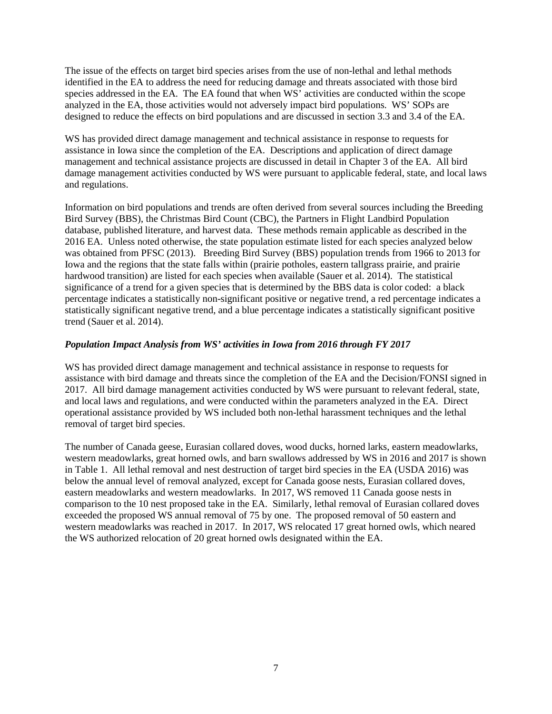The issue of the effects on target bird species arises from the use of non-lethal and lethal methods identified in the EA to address the need for reducing damage and threats associated with those bird species addressed in the EA. The EA found that when WS' activities are conducted within the scope analyzed in the EA, those activities would not adversely impact bird populations. WS' SOPs are designed to reduce the effects on bird populations and are discussed in section 3.3 and 3.4 of the EA.

WS has provided direct damage management and technical assistance in response to requests for assistance in Iowa since the completion of the EA. Descriptions and application of direct damage management and technical assistance projects are discussed in detail in Chapter 3 of the EA. All bird damage management activities conducted by WS were pursuant to applicable federal, state, and local laws and regulations.

Information on bird populations and trends are often derived from several sources including the Breeding Bird Survey (BBS), the Christmas Bird Count (CBC), the Partners in Flight Landbird Population database, published literature, and harvest data. These methods remain applicable as described in the 2016 EA. Unless noted otherwise, the state population estimate listed for each species analyzed below was obtained from PFSC (2013). Breeding Bird Survey (BBS) population trends from 1966 to 2013 for Iowa and the regions that the state falls within (prairie potholes, eastern tallgrass prairie, and prairie hardwood transition) are listed for each species when available (Sauer et al. 2014). The statistical significance of a trend for a given species that is determined by the BBS data is color coded: a black percentage indicates a statistically non-significant positive or negative trend, a red percentage indicates a statistically significant negative trend, and a blue percentage indicates a statistically significant positive trend (Sauer et al. 2014).

## *Population Impact Analysis from WS' activities in Iowa from 2016 through FY 2017*

WS has provided direct damage management and technical assistance in response to requests for assistance with bird damage and threats since the completion of the EA and the Decision/FONSI signed in 2017. All bird damage management activities conducted by WS were pursuant to relevant federal, state, and local laws and regulations, and were conducted within the parameters analyzed in the EA. Direct operational assistance provided by WS included both non-lethal harassment techniques and the lethal removal of target bird species.

The number of Canada geese, Eurasian collared doves, wood ducks, horned larks, eastern meadowlarks, western meadowlarks, great horned owls, and barn swallows addressed by WS in 2016 and 2017 is shown in Table 1. All lethal removal and nest destruction of target bird species in the EA (USDA 2016) was below the annual level of removal analyzed, except for Canada goose nests, Eurasian collared doves, eastern meadowlarks and western meadowlarks. In 2017, WS removed 11 Canada goose nests in comparison to the 10 nest proposed take in the EA. Similarly, lethal removal of Eurasian collared doves exceeded the proposed WS annual removal of 75 by one. The proposed removal of 50 eastern and western meadowlarks was reached in 2017. In 2017, WS relocated 17 great horned owls, which neared the WS authorized relocation of 20 great horned owls designated within the EA.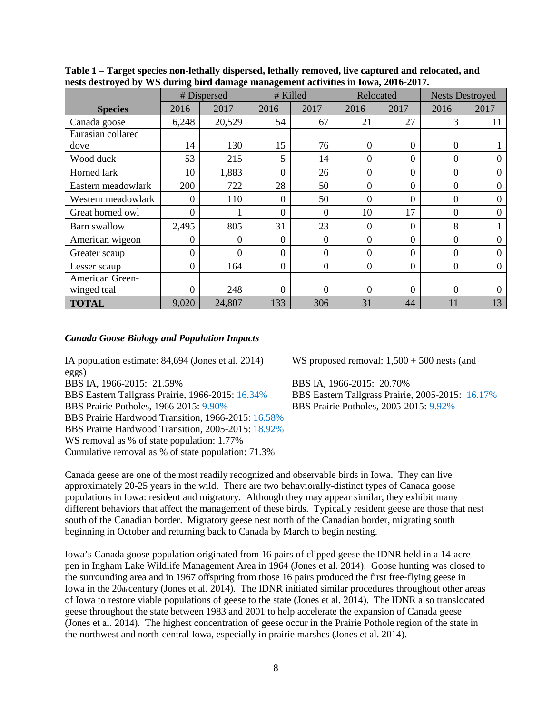|                    |                | nesis uestroyed by 1115 during bird damage management activities in Iowa, 2010-2017.<br># Killed<br># Dispersed<br>Relocated<br><b>Nests Destroyed</b> |                |                  |                  |                |                  |                |
|--------------------|----------------|--------------------------------------------------------------------------------------------------------------------------------------------------------|----------------|------------------|------------------|----------------|------------------|----------------|
|                    |                |                                                                                                                                                        |                |                  |                  |                |                  |                |
| <b>Species</b>     | 2016           | 2017                                                                                                                                                   | 2016           | 2017             | 2016             | 2017           | 2016             | 2017           |
| Canada goose       | 6,248          | 20,529                                                                                                                                                 | 54             | 67               | 21               | 27             | 3                | 11             |
| Eurasian collared  |                |                                                                                                                                                        |                |                  |                  |                |                  |                |
| dove               | 14             | 130                                                                                                                                                    | 15             | 76               | $\Omega$         | $\Omega$       | $\boldsymbol{0}$ |                |
| Wood duck          | 53             | 215                                                                                                                                                    | 5              | 14               | $\Omega$         | $\Omega$       | 0                | $\theta$       |
| Horned lark        | 10             | 1,883                                                                                                                                                  | $\theta$       | 26               | $\theta$         | $\Omega$       | 0                | 0              |
| Eastern meadowlark | 200            | 722                                                                                                                                                    | 28             | 50               | $\theta$         | $\Omega$       | $\boldsymbol{0}$ | $\Omega$       |
| Western meadowlark | $\Omega$       | 110                                                                                                                                                    | $\overline{0}$ | 50               | $\Omega$         | $\Omega$       | $\overline{0}$   | $\Omega$       |
| Great horned owl   | 0              |                                                                                                                                                        | $\Omega$       | $\overline{0}$   | 10               | 17             | 0                | $\Omega$       |
| Barn swallow       | 2,495          | 805                                                                                                                                                    | 31             | 23               | $\Omega$         | $\Omega$       | 8                |                |
| American wigeon    | 0              | 0                                                                                                                                                      | $\theta$       | $\mathbf{0}$     | $\overline{0}$   | $\Omega$       | 0                | 0              |
| Greater scaup      | $\Omega$       | $\Omega$                                                                                                                                               | $\Omega$       | $\overline{0}$   | $\Omega$         | $\Omega$       | $\overline{0}$   | $\theta$       |
| Lesser scaup       | $\Omega$       | 164                                                                                                                                                    | $\overline{0}$ | $\boldsymbol{0}$ | $\boldsymbol{0}$ | $\overline{0}$ | $\boldsymbol{0}$ | $\overline{0}$ |
| American Green-    |                |                                                                                                                                                        |                |                  |                  |                |                  |                |
| winged teal        | $\overline{0}$ | 248                                                                                                                                                    | $\overline{0}$ | $\boldsymbol{0}$ | $\overline{0}$   | $\Omega$       | $\boldsymbol{0}$ | 0              |
| <b>TOTAL</b>       | 9,020          | 24,807                                                                                                                                                 | 133            | 306              | 31               | 44             | 11               | 13             |

**Table 1 – Target species non-lethally dispersed, lethally removed, live captured and relocated, and nests destroyed by WS during bird damage management activities in Iowa, 2016-2017.**

#### *Canada Goose Biology and Population Impacts*

IA population estimate: 84,694 (Jones et al. 2014) WS proposed removal: 1,500 + 500 nests (and eggs)

BBS IA, 1966-2015: 21.59% BBS IA, 1966-2015: 20.70% BBS Prairie Potholes, 1966-2015: 9.90% BBS Prairie Potholes, 2005-2015: 9.92% BBS Prairie Hardwood Transition, 1966-2015: 16.58% BBS Prairie Hardwood Transition, 2005-2015: 18.92% WS removal as % of state population: 1.77% Cumulative removal as % of state population: 71.3%

BBS Eastern Tallgrass Prairie, 1966-2015: 16.34% BBS Eastern Tallgrass Prairie, 2005-2015: 16.17%

Canada geese are one of the most readily recognized and observable birds in Iowa. They can live approximately 20-25 years in the wild. There are two behaviorally-distinct types of Canada goose populations in Iowa: resident and migratory. Although they may appear similar, they exhibit many different behaviors that affect the management of these birds. Typically resident geese are those that nest south of the Canadian border. Migratory geese nest north of the Canadian border, migrating south beginning in October and returning back to Canada by March to begin nesting.

Iowa's Canada goose population originated from 16 pairs of clipped geese the IDNR held in a 14-acre pen in Ingham Lake Wildlife Management Area in 1964 (Jones et al. 2014). Goose hunting was closed to the surrounding area and in 1967 offspring from those 16 pairs produced the first free-flying geese in Iowa in the 20th century (Jones et al. 2014). The IDNR initiated similar procedures throughout other areas of Iowa to restore viable populations of geese to the state (Jones et al. 2014). The IDNR also translocated geese throughout the state between 1983 and 2001 to help accelerate the expansion of Canada geese (Jones et al. 2014). The highest concentration of geese occur in the Prairie Pothole region of the state in the northwest and north-central Iowa, especially in prairie marshes (Jones et al. 2014).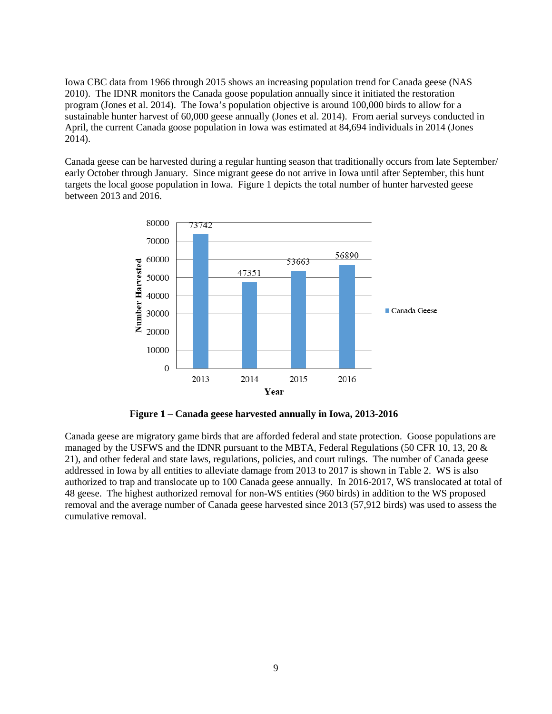Iowa CBC data from 1966 through 2015 shows an increasing population trend for Canada geese (NAS 2010). The IDNR monitors the Canada goose population annually since it initiated the restoration program (Jones et al. 2014). The Iowa's population objective is around 100,000 birds to allow for a sustainable hunter harvest of 60,000 geese annually (Jones et al. 2014). From aerial surveys conducted in April, the current Canada goose population in Iowa was estimated at 84,694 individuals in 2014 (Jones 2014).

Canada geese can be harvested during a regular hunting season that traditionally occurs from late September/ early October through January. Since migrant geese do not arrive in Iowa until after September, this hunt targets the local goose population in Iowa. Figure 1 depicts the total number of hunter harvested geese between 2013 and 2016.



**Figure 1 – Canada geese harvested annually in Iowa, 2013-2016**

Canada geese are migratory game birds that are afforded federal and state protection. Goose populations are managed by the USFWS and the IDNR pursuant to the MBTA, Federal Regulations (50 CFR 10, 13, 20 & 21), and other federal and state laws, regulations, policies, and court rulings. The number of Canada geese addressed in Iowa by all entities to alleviate damage from 2013 to 2017 is shown in Table 2. WS is also authorized to trap and translocate up to 100 Canada geese annually. In 2016-2017, WS translocated at total of 48 geese. The highest authorized removal for non-WS entities (960 birds) in addition to the WS proposed removal and the average number of Canada geese harvested since 2013 (57,912 birds) was used to assess the cumulative removal.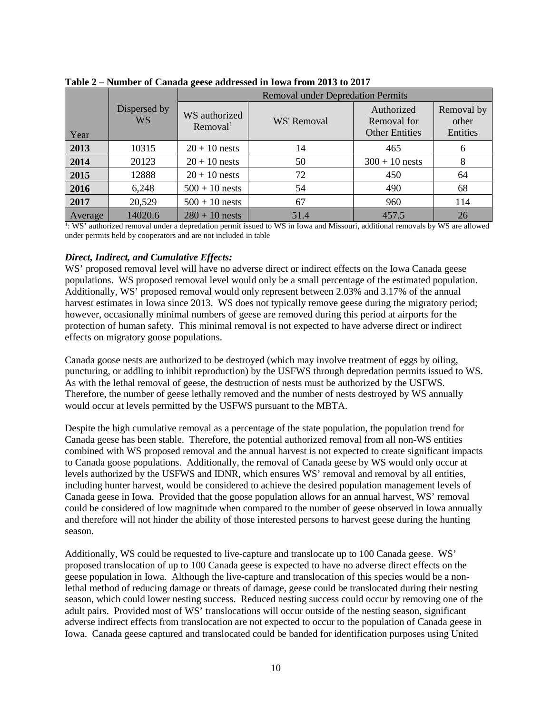|         |                     |                                       | Trainber of Camada geoc addressed in fowa from 2010 to 2017 |                                                    |                                 |  |  |
|---------|---------------------|---------------------------------------|-------------------------------------------------------------|----------------------------------------------------|---------------------------------|--|--|
|         |                     |                                       | <b>Removal under Depredation Permits</b>                    |                                                    |                                 |  |  |
| Year    | Dispersed by<br>WS. | WS authorized<br>Removal <sup>1</sup> | WS' Removal                                                 | Authorized<br>Removal for<br><b>Other Entities</b> | Removal by<br>other<br>Entities |  |  |
| 2013    | 10315               | $20 + 10$ nests                       | 14                                                          | 465                                                | 6                               |  |  |
| 2014    | 20123               | $20 + 10$ nests                       | 50                                                          | $300 + 10$ nests                                   | 8                               |  |  |
| 2015    | 12888               | $20 + 10$ nests                       | 72                                                          | 450                                                | 64                              |  |  |
| 2016    | 6,248               | $500 + 10$ nests                      | 54                                                          | 490                                                | 68                              |  |  |
| 2017    | 20,529              | $500 + 10$ nests                      | 67                                                          | 960                                                | 114                             |  |  |
| Average | 14020.6             | $280 + 10$ nests                      | 51.4                                                        | 457.5                                              | 26                              |  |  |

**Table 2 – Number of Canada geese addressed in Iowa from 2013 to 2017**

1: WS' authorized removal under a depredation permit issued to WS in Iowa and Missouri, additional removals by WS are allowed under permits held by cooperators and are not included in table

### *Direct, Indirect, and Cumulative Effects:*

WS' proposed removal level will have no adverse direct or indirect effects on the Iowa Canada geese populations. WS proposed removal level would only be a small percentage of the estimated population. Additionally, WS' proposed removal would only represent between 2.03% and 3.17% of the annual harvest estimates in Iowa since 2013. WS does not typically remove geese during the migratory period; however, occasionally minimal numbers of geese are removed during this period at airports for the protection of human safety. This minimal removal is not expected to have adverse direct or indirect effects on migratory goose populations.

Canada goose nests are authorized to be destroyed (which may involve treatment of eggs by oiling, puncturing, or addling to inhibit reproduction) by the USFWS through depredation permits issued to WS. As with the lethal removal of geese, the destruction of nests must be authorized by the USFWS. Therefore, the number of geese lethally removed and the number of nests destroyed by WS annually would occur at levels permitted by the USFWS pursuant to the MBTA.

Despite the high cumulative removal as a percentage of the state population, the population trend for Canada geese has been stable. Therefore, the potential authorized removal from all non-WS entities combined with WS proposed removal and the annual harvest is not expected to create significant impacts to Canada goose populations. Additionally, the removal of Canada geese by WS would only occur at levels authorized by the USFWS and IDNR, which ensures WS' removal and removal by all entities, including hunter harvest, would be considered to achieve the desired population management levels of Canada geese in Iowa. Provided that the goose population allows for an annual harvest, WS' removal could be considered of low magnitude when compared to the number of geese observed in Iowa annually and therefore will not hinder the ability of those interested persons to harvest geese during the hunting season.

Additionally, WS could be requested to live-capture and translocate up to 100 Canada geese. WS' proposed translocation of up to 100 Canada geese is expected to have no adverse direct effects on the geese population in Iowa. Although the live-capture and translocation of this species would be a nonlethal method of reducing damage or threats of damage, geese could be translocated during their nesting season, which could lower nesting success. Reduced nesting success could occur by removing one of the adult pairs. Provided most of WS' translocations will occur outside of the nesting season, significant adverse indirect effects from translocation are not expected to occur to the population of Canada geese in Iowa. Canada geese captured and translocated could be banded for identification purposes using United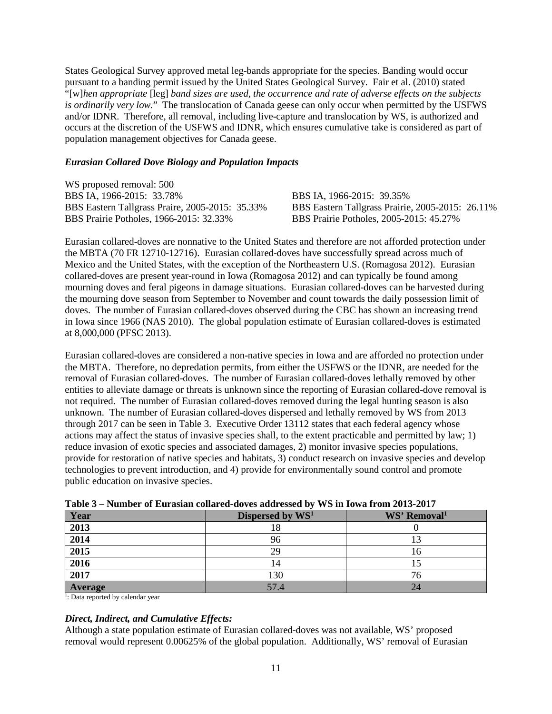States Geological Survey approved metal leg-bands appropriate for the species. Banding would occur pursuant to a banding permit issued by the United States Geological Survey. Fair et al. (2010) stated "[w]*hen appropriate* [leg] *band sizes are used, the occurrence and rate of adverse effects on the subjects is ordinarily very low.*" The translocation of Canada geese can only occur when permitted by the USFWS and/or IDNR. Therefore, all removal, including live-capture and translocation by WS, is authorized and occurs at the discretion of the USFWS and IDNR, which ensures cumulative take is considered as part of population management objectives for Canada geese.

### *Eurasian Collared Dove Biology and Population Impacts*

WS proposed removal: 500 BBS IA, 1966-2015: 33.78% BBS IA, 1966-2015: 39.35% BBS Eastern Tallgrass Praire, 2005-2015: 35.33% BBS Eastern Tallgrass Prairie, 2005-2015: 26.11%<br>BBS Prairie Potholes, 2005-2015: 45.27% BBS Prairie Potholes, 1966-2015: 32.33%

Eurasian collared-doves are nonnative to the United States and therefore are not afforded protection under the MBTA (70 FR 12710-12716). Eurasian collared-doves have successfully spread across much of Mexico and the United States, with the exception of the Northeastern U.S. (Romagosa 2012). Eurasian collared-doves are present year-round in Iowa (Romagosa 2012) and can typically be found among mourning doves and feral pigeons in damage situations. Eurasian collared-doves can be harvested during the mourning dove season from September to November and count towards the daily possession limit of doves. The number of Eurasian collared-doves observed during the CBC has shown an increasing trend in Iowa since 1966 (NAS 2010). The global population estimate of Eurasian collared-doves is estimated at 8,000,000 (PFSC 2013).

Eurasian collared-doves are considered a non-native species in Iowa and are afforded no protection under the MBTA. Therefore, no depredation permits, from either the USFWS or the IDNR, are needed for the removal of Eurasian collared-doves. The number of Eurasian collared-doves lethally removed by other entities to alleviate damage or threats is unknown since the reporting of Eurasian collared-dove removal is not required. The number of Eurasian collared-doves removed during the legal hunting season is also unknown. The number of Eurasian collared-doves dispersed and lethally removed by WS from 2013 through 2017 can be seen in Table 3. Executive Order 13112 states that each federal agency whose actions may affect the status of invasive species shall, to the extent practicable and permitted by law; 1) reduce invasion of exotic species and associated damages, 2) monitor invasive species populations, provide for restoration of native species and habitats, 3) conduct research on invasive species and develop technologies to prevent introduction, and 4) provide for environmentally sound control and promote public education on invasive species.

| -------        |                              |                          |  |  |  |
|----------------|------------------------------|--------------------------|--|--|--|
| Year           | Dispersed by WS <sup>1</sup> | WS' Removal <sup>1</sup> |  |  |  |
| 2013           |                              |                          |  |  |  |
| 2014           |                              |                          |  |  |  |
| 2015           | 29                           | I O                      |  |  |  |
| 2016           |                              |                          |  |  |  |
| 2017           | 130                          | 76                       |  |  |  |
| <b>Average</b> | 57.4                         | 24                       |  |  |  |

| Table 3 – Number of Eurasian collared-doves addressed by WS in Iowa from 2013-2017 |  |
|------------------------------------------------------------------------------------|--|
|------------------------------------------------------------------------------------|--|

<sup>1</sup>: Data reported by calendar year

### *Direct, Indirect, and Cumulative Effects:*

Although a state population estimate of Eurasian collared-doves was not available, WS' proposed removal would represent 0.00625% of the global population. Additionally, WS' removal of Eurasian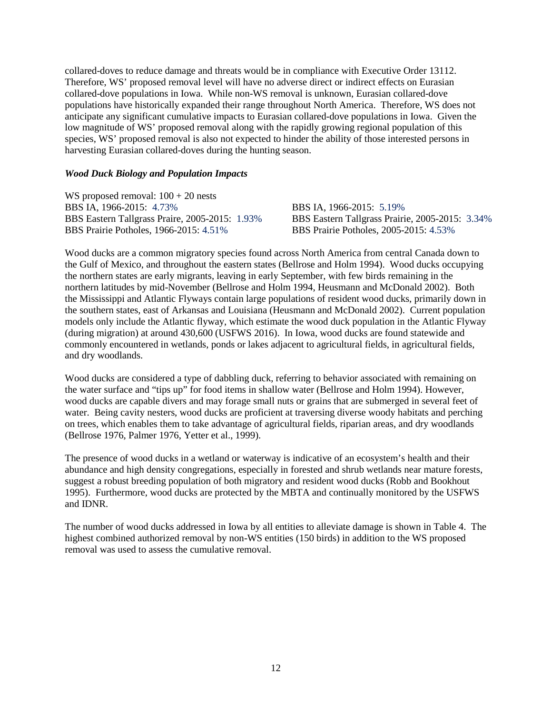collared-doves to reduce damage and threats would be in compliance with Executive Order 13112. Therefore, WS' proposed removal level will have no adverse direct or indirect effects on Eurasian collared-dove populations in Iowa. While non-WS removal is unknown, Eurasian collared-dove populations have historically expanded their range throughout North America. Therefore, WS does not anticipate any significant cumulative impacts to Eurasian collared-dove populations in Iowa. Given the low magnitude of WS' proposed removal along with the rapidly growing regional population of this species, WS' proposed removal is also not expected to hinder the ability of those interested persons in harvesting Eurasian collared-doves during the hunting season.

#### *Wood Duck Biology and Population Impacts*

WS proposed removal:  $100 + 20$  nests BBS IA, 1966-2015: 4.73%<br>BBS Eastern Tallgrass Praire, 2005-2015: 1.93%<br>BBS Eastern Tallgrass Prairi BBS Prairie Potholes, 1966-2015: 4.51% BBS Prairie Potholes, 2005-2015: 4.53%

BBS Eastern Tallgrass Prairie, 2005-2015: 3.34%

Wood ducks are a common migratory species found across North America from central Canada down to the Gulf of Mexico, and throughout the eastern states (Bellrose and Holm 1994). Wood ducks occupying the northern states are early migrants, leaving in early September, with few birds remaining in the northern latitudes by mid-November (Bellrose and Holm 1994, Heusmann and McDonald 2002). Both the Mississippi and Atlantic Flyways contain large populations of resident wood ducks, primarily down in the southern states, east of Arkansas and Louisiana (Heusmann and McDonald 2002). Current population models only include the Atlantic flyway, which estimate the wood duck population in the Atlantic Flyway (during migration) at around 430,600 (USFWS 2016). In Iowa, wood ducks are found statewide and commonly encountered in wetlands, ponds or lakes adjacent to agricultural fields, in agricultural fields, and dry woodlands.

Wood ducks are considered a type of dabbling duck, referring to behavior associated with remaining on the water surface and "tips up" for food items in shallow water (Bellrose and Holm 1994). However, wood ducks are capable divers and may forage small nuts or grains that are submerged in several feet of water. Being cavity nesters, wood ducks are proficient at traversing diverse woody habitats and perching on trees, which enables them to take advantage of agricultural fields, riparian areas, and dry woodlands (Bellrose 1976, Palmer 1976, Yetter et al., 1999).

The presence of wood ducks in a wetland or waterway is indicative of an ecosystem's health and their abundance and high density congregations, especially in forested and shrub wetlands near mature forests, suggest a robust breeding population of both migratory and resident wood ducks (Robb and Bookhout 1995). Furthermore, wood ducks are protected by the MBTA and continually monitored by the USFWS and IDNR.

The number of wood ducks addressed in Iowa by all entities to alleviate damage is shown in Table 4. The highest combined authorized removal by non-WS entities (150 birds) in addition to the WS proposed removal was used to assess the cumulative removal.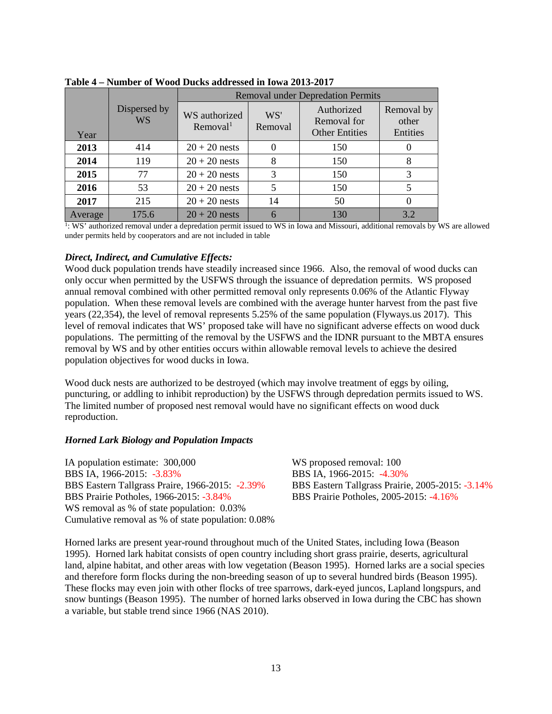|         |                           | <b>Removal under Depredation Permits</b> |                |                                                    |                                 |  |
|---------|---------------------------|------------------------------------------|----------------|----------------------------------------------------|---------------------------------|--|
| Year    | Dispersed by<br><b>WS</b> | WS authorized<br>Removal <sup>1</sup>    | WS'<br>Removal | Authorized<br>Removal for<br><b>Other Entities</b> | Removal by<br>other<br>Entities |  |
| 2013    | 414                       | $20 + 20$ nests                          |                | 150                                                |                                 |  |
| 2014    | 119                       | $20 + 20$ nests                          | 8              | 150                                                | 8                               |  |
| 2015    | 77                        | $20 + 20$ nests                          | 3              | 150                                                | 3                               |  |
| 2016    | 53                        | $20 + 20$ nests                          | 5              | 150                                                |                                 |  |
| 2017    | 215                       | $20 + 20$ nests                          | 14             | 50                                                 |                                 |  |
| Average | 175.6                     | $20 + 20$ nests                          |                | 130                                                | 3.2                             |  |

**Table 4 – Number of Wood Ducks addressed in Iowa 2013-2017**

1: WS' authorized removal under a depredation permit issued to WS in Iowa and Missouri, additional removals by WS are allowed under permits held by cooperators and are not included in table

### *Direct, Indirect, and Cumulative Effects:*

Wood duck population trends have steadily increased since 1966. Also, the removal of wood ducks can only occur when permitted by the USFWS through the issuance of depredation permits. WS proposed annual removal combined with other permitted removal only represents 0.06% of the Atlantic Flyway population. When these removal levels are combined with the average hunter harvest from the past five years (22,354), the level of removal represents 5.25% of the same population (Flyways.us 2017). This level of removal indicates that WS' proposed take will have no significant adverse effects on wood duck populations. The permitting of the removal by the USFWS and the IDNR pursuant to the MBTA ensures removal by WS and by other entities occurs within allowable removal levels to achieve the desired population objectives for wood ducks in Iowa.

Wood duck nests are authorized to be destroyed (which may involve treatment of eggs by oiling, puncturing, or addling to inhibit reproduction) by the USFWS through depredation permits issued to WS. The limited number of proposed nest removal would have no significant effects on wood duck reproduction.

#### *Horned Lark Biology and Population Impacts*

IA population estimate: 300,000 WS proposed removal: 100 BBS IA, 1966-2015: -3.83% BBS IA, 1966-2015: -4.30% BBS Eastern Tallgrass Praire, 1966-2015: -2.39% BBS Eastern Tallgrass Prairie, 2005-2015: -3.14% BBS Prairie Potholes, 1966-2015: -3.84% BBS Prairie Potholes, 2005-2015: -4.16% WS removal as % of state population:  $0.03\%$ Cumulative removal as % of state population: 0.08%

Horned larks are present year-round throughout much of the United States, including Iowa (Beason 1995). Horned lark habitat consists of open country including short grass prairie, deserts, agricultural land, alpine habitat, and other areas with low vegetation (Beason 1995). Horned larks are a social species and therefore form flocks during the non-breeding season of up to several hundred birds (Beason 1995). These flocks may even join with other flocks of tree sparrows, dark-eyed juncos, Lapland longspurs, and snow buntings (Beason 1995). The number of horned larks observed in Iowa during the CBC has shown a variable, but stable trend since 1966 (NAS 2010).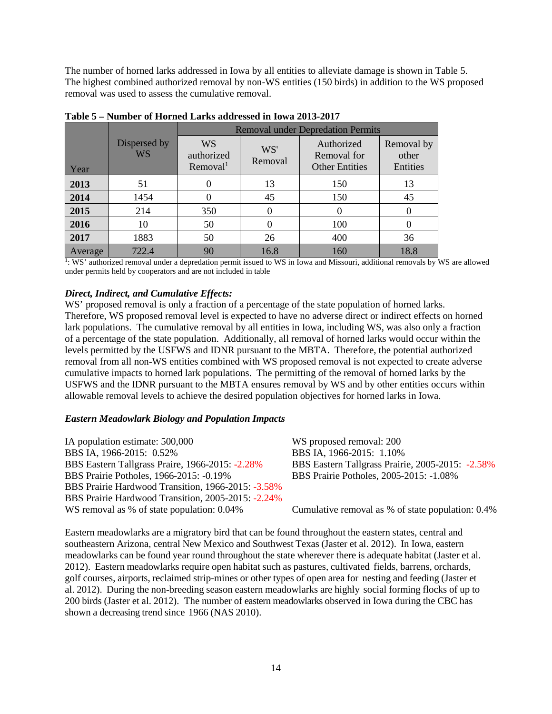The number of horned larks addressed in Iowa by all entities to alleviate damage is shown in Table 5. The highest combined authorized removal by non-WS entities (150 birds) in addition to the WS proposed removal was used to assess the cumulative removal.

|         |                           | <b>Removal under Depredation Permits</b>        |                |                                                    |                                 |  |  |
|---------|---------------------------|-------------------------------------------------|----------------|----------------------------------------------------|---------------------------------|--|--|
| Year    | Dispersed by<br><b>WS</b> | <b>WS</b><br>authorized<br>Removal <sup>1</sup> | WS'<br>Removal | Authorized<br>Removal for<br><b>Other Entities</b> | Removal by<br>other<br>Entities |  |  |
| 2013    | 51                        | $\Omega$                                        | 13             | 150                                                | 13                              |  |  |
| 2014    | 1454                      | $\Omega$                                        | 45             | 150                                                | 45                              |  |  |
| 2015    | 214                       | 350                                             |                | $\Omega$                                           |                                 |  |  |
| 2016    | 10                        | 50                                              |                | 100                                                |                                 |  |  |
| 2017    | 1883                      | 50                                              | 26             | 400                                                | 36                              |  |  |
| Average | 722.4                     | 90                                              | 16.8           | 160                                                | 18.8                            |  |  |

**Table 5 – Number of Horned Larks addressed in Iowa 2013-2017**

1: WS' authorized removal under a depredation permit issued to WS in Iowa and Missouri, additional removals by WS are allowed under permits held by cooperators and are not included in table

### *Direct, Indirect, and Cumulative Effects:*

WS' proposed removal is only a fraction of a percentage of the state population of horned larks. Therefore, WS proposed removal level is expected to have no adverse direct or indirect effects on horned lark populations. The cumulative removal by all entities in Iowa, including WS, was also only a fraction of a percentage of the state population. Additionally, all removal of horned larks would occur within the levels permitted by the USFWS and IDNR pursuant to the MBTA. Therefore, the potential authorized removal from all non-WS entities combined with WS proposed removal is not expected to create adverse cumulative impacts to horned lark populations. The permitting of the removal of horned larks by the USFWS and the IDNR pursuant to the MBTA ensures removal by WS and by other entities occurs within allowable removal levels to achieve the desired population objectives for horned larks in Iowa.

### *Eastern Meadowlark Biology and Population Impacts*

IA population estimate: 500,000 WS proposed removal: 200 BBS IA, 1966-2015: 0.52% BBS IA, 1966-2015: 1.10% BBS Eastern Tallgrass Praire, 1966-2015: -2.28% BBS Eastern Tallgrass Prairie, 2005-2015: -2.58% BBS Prairie Potholes, 1966-2015: -0.19% BBS Prairie Potholes, 2005-2015: -1.08% BBS Prairie Hardwood Transition, 1966-2015: -3.58% BBS Prairie Hardwood Transition, 2005-2015: -2.24% WS removal as % of state population:  $0.04\%$  Cumulative removal as % of state population:  $0.4\%$ 

Eastern meadowlarks are a migratory bird that can be found throughout the eastern states, central and southeastern Arizona, central New Mexico and Southwest Texas (Jaster et al. 2012). In Iowa, eastern meadowlarks can be found year round throughout the state wherever there is adequate habitat (Jaster et al. 2012). Eastern meadowlarks require open habitat such as pastures, cultivated fields, barrens, orchards, golf courses, airports, reclaimed strip-mines or other types of open area for nesting and feeding (Jaster et al. 2012). During the non-breeding season eastern meadowlarks are highly social forming flocks of up to 200 birds (Jaster et al. 2012). The number of eastern meadowlarks observed in Iowa during the CBC has shown a decreasing trend since 1966 (NAS 2010).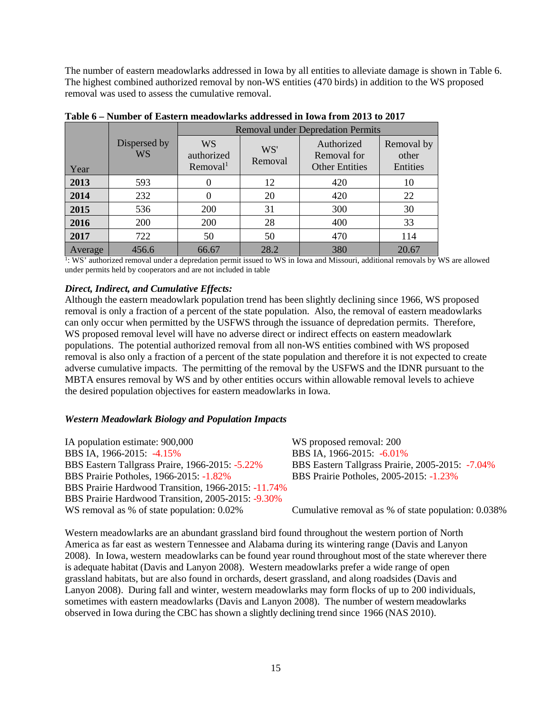The number of eastern meadowlarks addressed in Iowa by all entities to alleviate damage is shown in Table 6. The highest combined authorized removal by non-WS entities (470 birds) in addition to the WS proposed removal was used to assess the cumulative removal.

|         |                           | <b>Removal under Depredation Permits</b>        |                |                                                    |                                 |  |  |
|---------|---------------------------|-------------------------------------------------|----------------|----------------------------------------------------|---------------------------------|--|--|
| Year    | Dispersed by<br><b>WS</b> | <b>WS</b><br>authorized<br>Removal <sup>1</sup> | WS'<br>Removal | Authorized<br>Removal for<br><b>Other Entities</b> | Removal by<br>other<br>Entities |  |  |
| 2013    | 593                       |                                                 | 12             | 420                                                | 10                              |  |  |
| 2014    | 232                       |                                                 | 20             | 420                                                | 22                              |  |  |
| 2015    | 536                       | 200                                             | 31             | 300                                                | 30                              |  |  |
| 2016    | 200                       | 200                                             | 28             | 400                                                | 33                              |  |  |
| 2017    | 722                       | 50                                              | 50             | 470                                                | 114                             |  |  |
| Average | 456.6                     | 66.67                                           | 28.2           | 380                                                | 20.67                           |  |  |

**Table 6 – Number of Eastern meadowlarks addressed in Iowa from 2013 to 2017**

<sup>1</sup>: WS' authorized removal under a depredation permit issued to WS in Iowa and Missouri, additional removals by WS are allowed under permits held by cooperators and are not included in table

#### *Direct, Indirect, and Cumulative Effects:*

Although the eastern meadowlark population trend has been slightly declining since 1966, WS proposed removal is only a fraction of a percent of the state population. Also, the removal of eastern meadowlarks can only occur when permitted by the USFWS through the issuance of depredation permits. Therefore, WS proposed removal level will have no adverse direct or indirect effects on eastern meadowlark populations. The potential authorized removal from all non-WS entities combined with WS proposed removal is also only a fraction of a percent of the state population and therefore it is not expected to create adverse cumulative impacts. The permitting of the removal by the USFWS and the IDNR pursuant to the MBTA ensures removal by WS and by other entities occurs within allowable removal levels to achieve the desired population objectives for eastern meadowlarks in Iowa.

#### *Western Meadowlark Biology and Population Impacts*

IA population estimate: 900,000 WS proposed removal: 200 BBS IA, 1966-2015: -4.15% BBS IA, 1966-2015: -6.01% BBS Eastern Tallgrass Praire, 1966-2015: -5.22% BBS Eastern Tallgrass Prairie, 2005-2015: -7.04% BBS Prairie Potholes, 1966-2015: -1.82% BBS Prairie Potholes, 2005-2015: -1.23% BBS Prairie Hardwood Transition, 1966-2015: -11.74% BBS Prairie Hardwood Transition, 2005-2015: -9.30% WS removal as % of state population:  $0.02\%$  Cumulative removal as % of state population: 0.038%

Western meadowlarks are an abundant grassland bird found throughout the western portion of North America as far east as western Tennessee and Alabama during its wintering range (Davis and Lanyon 2008). In Iowa, western meadowlarks can be found year round throughout most of the state wherever there is adequate habitat (Davis and Lanyon 2008). Western meadowlarks prefer a wide range of open grassland habitats, but are also found in orchards, desert grassland, and along roadsides (Davis and Lanyon 2008). During fall and winter, western meadowlarks may form flocks of up to 200 individuals, sometimes with eastern meadowlarks (Davis and Lanyon 2008). The number of western meadowlarks observed in Iowa during the CBC has shown a slightly declining trend since 1966 (NAS 2010).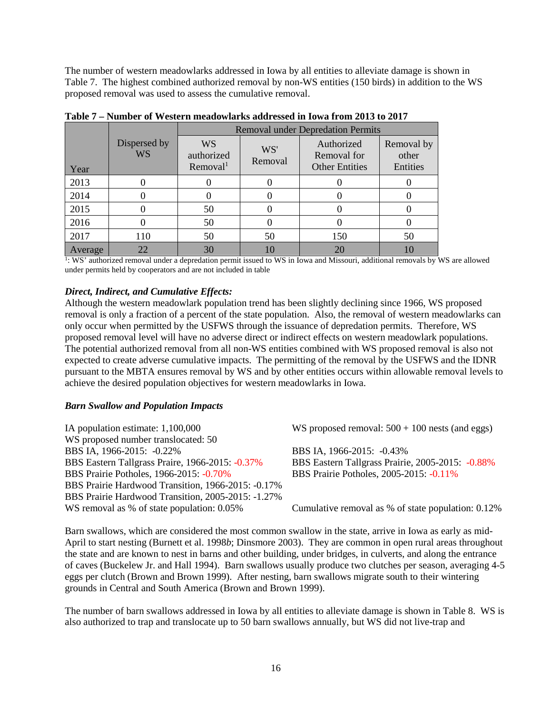The number of western meadowlarks addressed in Iowa by all entities to alleviate damage is shown in Table 7. The highest combined authorized removal by non-WS entities (150 birds) in addition to the WS proposed removal was used to assess the cumulative removal.

|         |                           |                                                 |                | <b>Removal under Depredation Permits</b>           |                                 |
|---------|---------------------------|-------------------------------------------------|----------------|----------------------------------------------------|---------------------------------|
| Year    | Dispersed by<br><b>WS</b> | <b>WS</b><br>authorized<br>Removal <sup>1</sup> | WS'<br>Removal | Authorized<br>Removal for<br><b>Other Entities</b> | Removal by<br>other<br>Entities |
| 2013    |                           |                                                 |                |                                                    |                                 |
| 2014    |                           |                                                 |                |                                                    |                                 |
| 2015    |                           | 50                                              |                |                                                    |                                 |
| 2016    |                           | 50                                              |                |                                                    |                                 |
| 2017    | 110                       | 50                                              | 50             | 150                                                | 50                              |
| Average | 22                        | 30                                              |                | 20                                                 |                                 |

**Table 7 – Number of Western meadowlarks addressed in Iowa from 2013 to 2017**

1: WS' authorized removal under a depredation permit issued to WS in Iowa and Missouri, additional removals by WS are allowed under permits held by cooperators and are not included in table

#### *Direct, Indirect, and Cumulative Effects:*

Although the western meadowlark population trend has been slightly declining since 1966, WS proposed removal is only a fraction of a percent of the state population. Also, the removal of western meadowlarks can only occur when permitted by the USFWS through the issuance of depredation permits. Therefore, WS proposed removal level will have no adverse direct or indirect effects on western meadowlark populations. The potential authorized removal from all non-WS entities combined with WS proposed removal is also not expected to create adverse cumulative impacts. The permitting of the removal by the USFWS and the IDNR pursuant to the MBTA ensures removal by WS and by other entities occurs within allowable removal levels to achieve the desired population objectives for western meadowlarks in Iowa.

#### *Barn Swallow and Population Impacts*

| IA population estimate: 1,100,000                  | WS proposed removal: $500 + 100$ nests (and eggs)  |
|----------------------------------------------------|----------------------------------------------------|
| WS proposed number translocated: 50                |                                                    |
| BBS IA, 1966-2015: -0.22%                          | BBS IA, 1966-2015: -0.43%                          |
| BBS Eastern Tallgrass Praire, 1966-2015: -0.37%    | BBS Eastern Tallgrass Prairie, 2005-2015: -0.88%   |
| BBS Prairie Potholes, 1966-2015: -0.70%            | BBS Prairie Potholes, 2005-2015: -0.11%            |
| BBS Prairie Hardwood Transition, 1966-2015: -0.17% |                                                    |
| BBS Prairie Hardwood Transition, 2005-2015: -1.27% |                                                    |
| WS removal as % of state population: 0.05%         | Cumulative removal as % of state population: 0.12% |
|                                                    |                                                    |

Barn swallows, which are considered the most common swallow in the state, arrive in Iowa as early as mid-April to start nesting (Burnett et al. 1998*b*; Dinsmore 2003). They are common in open rural areas throughout the state and are known to nest in barns and other building, under bridges, in culverts, and along the entrance of caves (Buckelew Jr. and Hall 1994). Barn swallows usually produce two clutches per season, averaging 4-5 eggs per clutch (Brown and Brown 1999). After nesting, barn swallows migrate south to their wintering grounds in Central and South America (Brown and Brown 1999).

The number of barn swallows addressed in Iowa by all entities to alleviate damage is shown in Table 8. WS is also authorized to trap and translocate up to 50 barn swallows annually, but WS did not live-trap and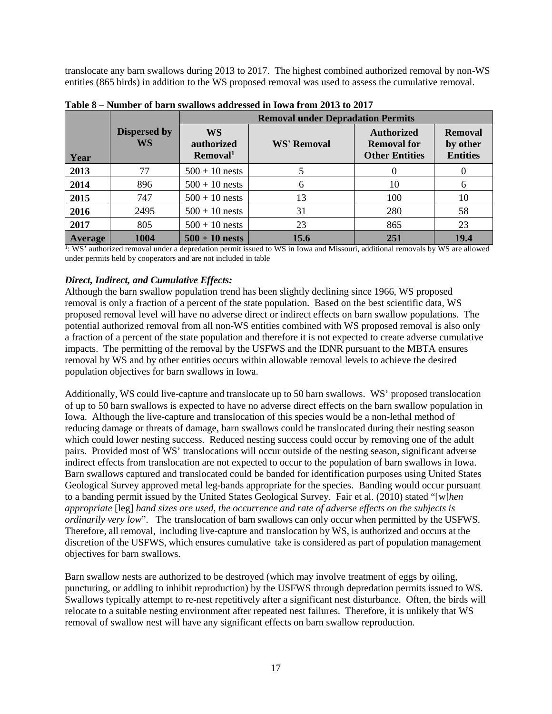translocate any barn swallows during 2013 to 2017. The highest combined authorized removal by non-WS entities (865 birds) in addition to the WS proposed removal was used to assess the cumulative removal.

|                |                           | <b>Removal under Depradation Permits</b> |                    |                                                                  |                                               |  |  |
|----------------|---------------------------|------------------------------------------|--------------------|------------------------------------------------------------------|-----------------------------------------------|--|--|
| Year           | <b>Dispersed by</b><br>WS | WS<br>authorized<br>Removal <sup>1</sup> | <b>WS' Removal</b> | <b>Authorized</b><br><b>Removal for</b><br><b>Other Entities</b> | <b>Removal</b><br>by other<br><b>Entities</b> |  |  |
| 2013           | 77                        | $500 + 10$ nests                         |                    |                                                                  |                                               |  |  |
| 2014           | 896                       | $500 + 10$ nests                         | 6                  | 10                                                               | 6                                             |  |  |
| 2015           | 747                       | $500 + 10$ nests                         | 13                 | 100                                                              | 10                                            |  |  |
| 2016           | 2495                      | $500 + 10$ nests                         | 31                 | 280                                                              | 58                                            |  |  |
| 2017           | 805                       | $500 + 10$ nests                         | 23                 | 865                                                              | 23                                            |  |  |
| <b>Average</b> | 1004                      | $500 + 10$ nests                         | 15.6               | 251                                                              | 19.4                                          |  |  |

**Table 8 – Number of barn swallows addressed in Iowa from 2013 to 2017**

<sup>1</sup>: WS' authorized removal under a depredation permit issued to WS in Iowa and Missouri, additional removals by WS are allowed under permits held by cooperators and are not included in table

## *Direct, Indirect, and Cumulative Effects:*

Although the barn swallow population trend has been slightly declining since 1966, WS proposed removal is only a fraction of a percent of the state population. Based on the best scientific data, WS proposed removal level will have no adverse direct or indirect effects on barn swallow populations. The potential authorized removal from all non-WS entities combined with WS proposed removal is also only a fraction of a percent of the state population and therefore it is not expected to create adverse cumulative impacts. The permitting of the removal by the USFWS and the IDNR pursuant to the MBTA ensures removal by WS and by other entities occurs within allowable removal levels to achieve the desired population objectives for barn swallows in Iowa.

Additionally, WS could live-capture and translocate up to 50 barn swallows. WS' proposed translocation of up to 50 barn swallows is expected to have no adverse direct effects on the barn swallow population in Iowa. Although the live-capture and translocation of this species would be a non-lethal method of reducing damage or threats of damage, barn swallows could be translocated during their nesting season which could lower nesting success. Reduced nesting success could occur by removing one of the adult pairs. Provided most of WS' translocations will occur outside of the nesting season, significant adverse indirect effects from translocation are not expected to occur to the population of barn swallows in Iowa. Barn swallows captured and translocated could be banded for identification purposes using United States Geological Survey approved metal leg-bands appropriate for the species. Banding would occur pursuant to a banding permit issued by the United States Geological Survey. Fair et al. (2010) stated "[w]*hen appropriate* [leg] *band sizes are used, the occurrence and rate of adverse effects on the subjects is ordinarily very low*". The translocation of barn swallows can only occur when permitted by the USFWS. Therefore, all removal, including live-capture and translocation by WS, is authorized and occurs at the discretion of the USFWS, which ensures cumulative take is considered as part of population management objectives for barn swallows.

Barn swallow nests are authorized to be destroyed (which may involve treatment of eggs by oiling, puncturing, or addling to inhibit reproduction) by the USFWS through depredation permits issued to WS. Swallows typically attempt to re-nest repetitively after a significant nest disturbance. Often, the birds will relocate to a suitable nesting environment after repeated nest failures. Therefore, it is unlikely that WS removal of swallow nest will have any significant effects on barn swallow reproduction.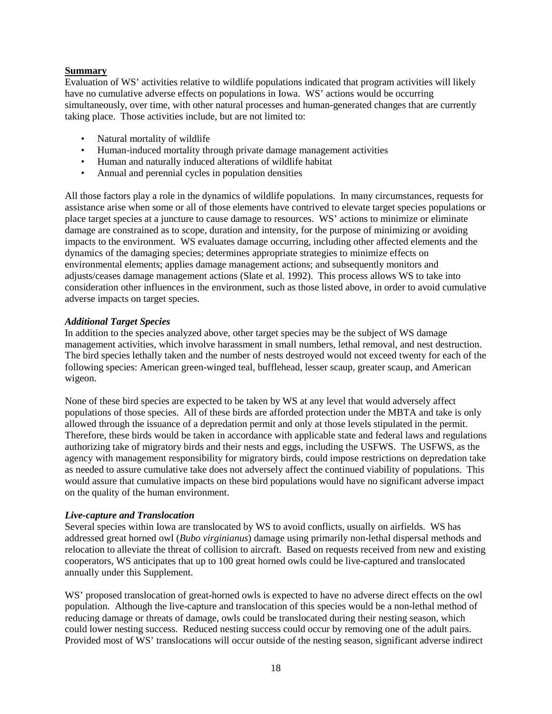#### **Summary**

Evaluation of WS' activities relative to wildlife populations indicated that program activities will likely have no cumulative adverse effects on populations in Iowa. WS' actions would be occurring simultaneously, over time, with other natural processes and human-generated changes that are currently taking place. Those activities include, but are not limited to:

- Natural mortality of wildlife
- Human-induced mortality through private damage management activities
- Human and naturally induced alterations of wildlife habitat
- Annual and perennial cycles in population densities

All those factors play a role in the dynamics of wildlife populations. In many circumstances, requests for assistance arise when some or all of those elements have contrived to elevate target species populations or place target species at a juncture to cause damage to resources. WS' actions to minimize or eliminate damage are constrained as to scope, duration and intensity, for the purpose of minimizing or avoiding impacts to the environment. WS evaluates damage occurring, including other affected elements and the dynamics of the damaging species; determines appropriate strategies to minimize effects on environmental elements; applies damage management actions; and subsequently monitors and adjusts/ceases damage management actions (Slate et al. 1992). This process allows WS to take into consideration other influences in the environment, such as those listed above, in order to avoid cumulative adverse impacts on target species.

#### *Additional Target Species*

In addition to the species analyzed above, other target species may be the subject of WS damage management activities, which involve harassment in small numbers, lethal removal, and nest destruction. The bird species lethally taken and the number of nests destroyed would not exceed twenty for each of the following species: American green-winged teal, bufflehead, lesser scaup, greater scaup, and American wigeon.

None of these bird species are expected to be taken by WS at any level that would adversely affect populations of those species. All of these birds are afforded protection under the MBTA and take is only allowed through the issuance of a depredation permit and only at those levels stipulated in the permit. Therefore, these birds would be taken in accordance with applicable state and federal laws and regulations authorizing take of migratory birds and their nests and eggs, including the USFWS. The USFWS, as the agency with management responsibility for migratory birds, could impose restrictions on depredation take as needed to assure cumulative take does not adversely affect the continued viability of populations. This would assure that cumulative impacts on these bird populations would have no significant adverse impact on the quality of the human environment.

#### *Live-capture and Translocation*

Several species within Iowa are translocated by WS to avoid conflicts, usually on airfields. WS has addressed great horned owl (*Bubo virginianus*) damage using primarily non-lethal dispersal methods and relocation to alleviate the threat of collision to aircraft. Based on requests received from new and existing cooperators, WS anticipates that up to 100 great horned owls could be live-captured and translocated annually under this Supplement.

WS' proposed translocation of great-horned owls is expected to have no adverse direct effects on the owl population. Although the live-capture and translocation of this species would be a non-lethal method of reducing damage or threats of damage, owls could be translocated during their nesting season, which could lower nesting success. Reduced nesting success could occur by removing one of the adult pairs. Provided most of WS' translocations will occur outside of the nesting season, significant adverse indirect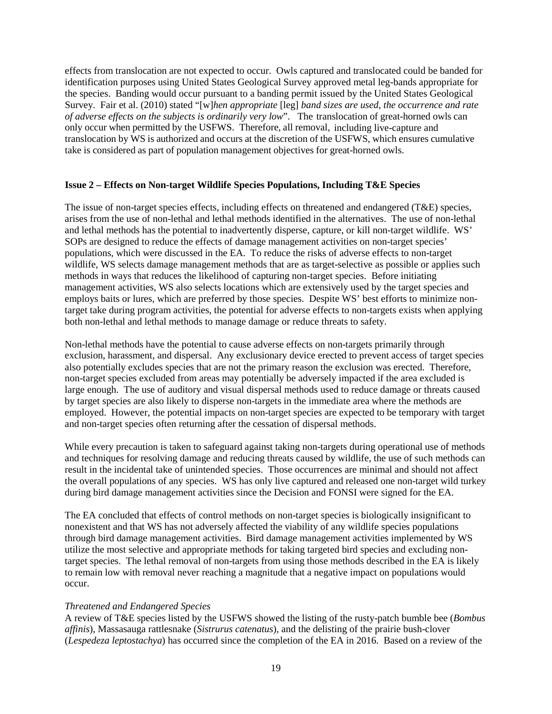effects from translocation are not expected to occur. Owls captured and translocated could be banded for identification purposes using United States Geological Survey approved metal leg-bands appropriate for the species. Banding would occur pursuant to a banding permit issued by the United States Geological Survey. Fair et al. (2010) stated "[w]*hen appropriate* [leg] *band sizes are used, the occurrence and rate of adverse effects on the subjects is ordinarily very low*". The translocation of great-horned owls can only occur when permitted by the USFWS. Therefore, all removal, including live-capture and translocation by WS is authorized and occurs at the discretion of the USFWS, which ensures cumulative take is considered as part of population management objectives for great-horned owls.

### **Issue 2 – Effects on Non-target Wildlife Species Populations, Including T&E Species**

The issue of non-target species effects, including effects on threatened and endangered (T&E) species, arises from the use of non-lethal and lethal methods identified in the alternatives. The use of non-lethal and lethal methods has the potential to inadvertently disperse, capture, or kill non-target wildlife. WS' SOPs are designed to reduce the effects of damage management activities on non-target species' populations, which were discussed in the EA. To reduce the risks of adverse effects to non-target wildlife, WS selects damage management methods that are as target-selective as possible or applies such methods in ways that reduces the likelihood of capturing non-target species. Before initiating management activities, WS also selects locations which are extensively used by the target species and employs baits or lures, which are preferred by those species. Despite WS' best efforts to minimize nontarget take during program activities, the potential for adverse effects to non-targets exists when applying both non-lethal and lethal methods to manage damage or reduce threats to safety.

Non-lethal methods have the potential to cause adverse effects on non-targets primarily through exclusion, harassment, and dispersal. Any exclusionary device erected to prevent access of target species also potentially excludes species that are not the primary reason the exclusion was erected. Therefore, non-target species excluded from areas may potentially be adversely impacted if the area excluded is large enough. The use of auditory and visual dispersal methods used to reduce damage or threats caused by target species are also likely to disperse non-targets in the immediate area where the methods are employed. However, the potential impacts on non-target species are expected to be temporary with target and non-target species often returning after the cessation of dispersal methods.

While every precaution is taken to safeguard against taking non-targets during operational use of methods and techniques for resolving damage and reducing threats caused by wildlife, the use of such methods can result in the incidental take of unintended species. Those occurrences are minimal and should not affect the overall populations of any species. WS has only live captured and released one non-target wild turkey during bird damage management activities since the Decision and FONSI were signed for the EA.

The EA concluded that effects of control methods on non-target species is biologically insignificant to nonexistent and that WS has not adversely affected the viability of any wildlife species populations through bird damage management activities. Bird damage management activities implemented by WS utilize the most selective and appropriate methods for taking targeted bird species and excluding nontarget species. The lethal removal of non-targets from using those methods described in the EA is likely to remain low with removal never reaching a magnitude that a negative impact on populations would occur.

### *Threatened and Endangered Species*

A review of T&E species listed by the USFWS showed the listing of the rusty-patch bumble bee (*Bombus affinis*), Massasauga rattlesnake (*Sistrurus catenatus*), and the delisting of the prairie bush-clover (*Lespedeza leptostachya*) has occurred since the completion of the EA in 2016. Based on a review of the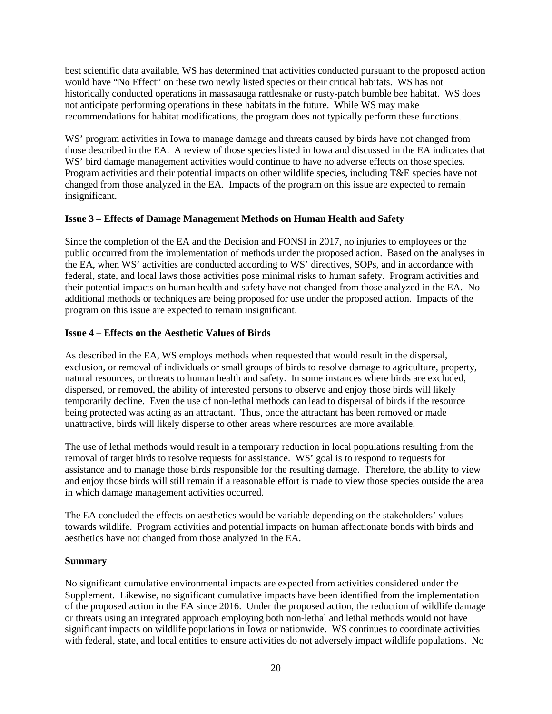best scientific data available, WS has determined that activities conducted pursuant to the proposed action would have "No Effect" on these two newly listed species or their critical habitats. WS has not historically conducted operations in massasauga rattlesnake or rusty-patch bumble bee habitat. WS does not anticipate performing operations in these habitats in the future. While WS may make recommendations for habitat modifications, the program does not typically perform these functions.

WS' program activities in Iowa to manage damage and threats caused by birds have not changed from those described in the EA. A review of those species listed in Iowa and discussed in the EA indicates that WS' bird damage management activities would continue to have no adverse effects on those species. Program activities and their potential impacts on other wildlife species, including T&E species have not changed from those analyzed in the EA. Impacts of the program on this issue are expected to remain insignificant.

# **Issue 3 – Effects of Damage Management Methods on Human Health and Safety**

Since the completion of the EA and the Decision and FONSI in 2017, no injuries to employees or the public occurred from the implementation of methods under the proposed action. Based on the analyses in the EA, when WS' activities are conducted according to WS' directives, SOPs, and in accordance with federal, state, and local laws those activities pose minimal risks to human safety. Program activities and their potential impacts on human health and safety have not changed from those analyzed in the EA. No additional methods or techniques are being proposed for use under the proposed action. Impacts of the program on this issue are expected to remain insignificant.

## **Issue 4 – Effects on the Aesthetic Values of Birds**

As described in the EA, WS employs methods when requested that would result in the dispersal, exclusion, or removal of individuals or small groups of birds to resolve damage to agriculture, property, natural resources, or threats to human health and safety. In some instances where birds are excluded, dispersed, or removed, the ability of interested persons to observe and enjoy those birds will likely temporarily decline. Even the use of non-lethal methods can lead to dispersal of birds if the resource being protected was acting as an attractant. Thus, once the attractant has been removed or made unattractive, birds will likely disperse to other areas where resources are more available.

The use of lethal methods would result in a temporary reduction in local populations resulting from the removal of target birds to resolve requests for assistance. WS' goal is to respond to requests for assistance and to manage those birds responsible for the resulting damage. Therefore, the ability to view and enjoy those birds will still remain if a reasonable effort is made to view those species outside the area in which damage management activities occurred.

The EA concluded the effects on aesthetics would be variable depending on the stakeholders' values towards wildlife. Program activities and potential impacts on human affectionate bonds with birds and aesthetics have not changed from those analyzed in the EA.

### **Summary**

No significant cumulative environmental impacts are expected from activities considered under the Supplement. Likewise, no significant cumulative impacts have been identified from the implementation of the proposed action in the EA since 2016. Under the proposed action, the reduction of wildlife damage or threats using an integrated approach employing both non-lethal and lethal methods would not have significant impacts on wildlife populations in Iowa or nationwide. WS continues to coordinate activities with federal, state, and local entities to ensure activities do not adversely impact wildlife populations. No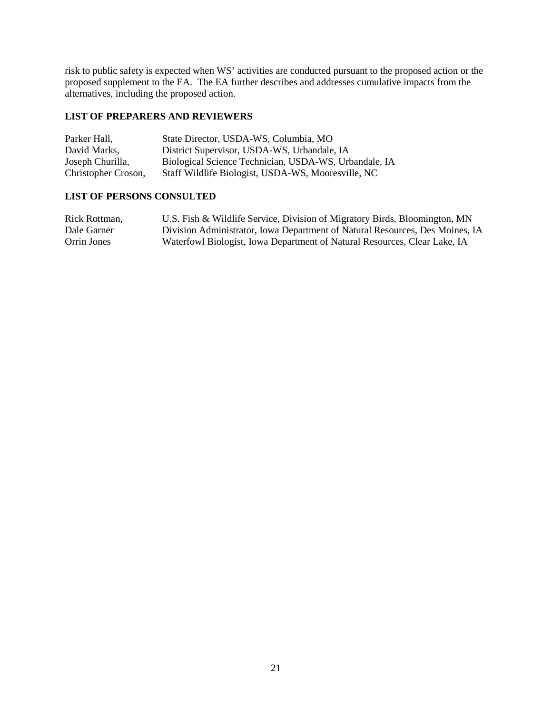risk to public safety is expected when WS' activities are conducted pursuant to the proposed action or the proposed supplement to the EA. The EA further describes and addresses cumulative impacts from the alternatives, including the proposed action.

# **LIST OF PREPARERS AND REVIEWERS**

| Parker Hall,        | State Director, USDA-WS, Columbia, MO                 |
|---------------------|-------------------------------------------------------|
| David Marks.        | District Supervisor, USDA-WS, Urbandale, IA           |
| Joseph Churilla,    | Biological Science Technician, USDA-WS, Urbandale, IA |
| Christopher Croson, | Staff Wildlife Biologist, USDA-WS, Mooresville, NC    |

## **LIST OF PERSONS CONSULTED**

| Rick Rottman, | U.S. Fish & Wildlife Service, Division of Migratory Birds, Bloomington, MN   |
|---------------|------------------------------------------------------------------------------|
| Dale Garner   | Division Administrator, Iowa Department of Natural Resources, Des Moines, IA |
| Orrin Jones   | Waterfowl Biologist, Iowa Department of Natural Resources, Clear Lake, IA    |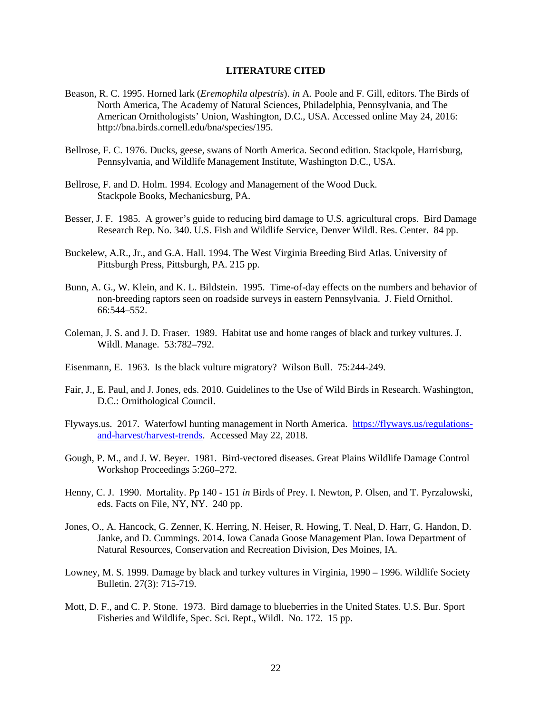#### **LITERATURE CITED**

- Beason, R. C. 1995. Horned lark (*Eremophila alpestris*). *in* A. Poole and F. Gill, editors. The Birds of North America, The Academy of Natural Sciences, Philadelphia, Pennsylvania, and The American Ornithologists' Union, Washington, D.C., USA. Accessed online May 24, 2016: http://bna.birds.cornell.edu/bna/species/195.
- Bellrose, F. C. 1976. Ducks, geese, swans of North America. Second edition. Stackpole, Harrisburg, Pennsylvania, and Wildlife Management Institute, Washington D.C., USA.
- Bellrose, F. and D. Holm. 1994. Ecology and Management of the Wood Duck. Stackpole Books, Mechanicsburg, PA.
- Besser, J. F. 1985. A grower's guide to reducing bird damage to U.S. agricultural crops. Bird Damage Research Rep. No. 340. U.S. Fish and Wildlife Service, Denver Wildl. Res. Center. 84 pp.
- Buckelew, A.R., Jr., and G.A. Hall. 1994. The West Virginia Breeding Bird Atlas. University of Pittsburgh Press, Pittsburgh, PA. 215 pp.
- Bunn, A. G., W. Klein, and K. L. Bildstein. 1995. Time-of-day effects on the numbers and behavior of non-breeding raptors seen on roadside surveys in eastern Pennsylvania. J. Field Ornithol. 66:544–552.
- Coleman, J. S. and J. D. Fraser. 1989. Habitat use and home ranges of black and turkey vultures. J. Wildl. Manage. 53:782–792.
- Eisenmann, E. 1963. Is the black vulture migratory? Wilson Bull. 75:244-249.
- Fair, J., E. Paul, and J. Jones, eds. 2010. Guidelines to the Use of Wild Birds in Research. Washington, D.C.: Ornithological Council.
- Flyways.us. 2017. Waterfowl hunting management in North America. [https://flyways.us/regulations](https://flyways.us/regulations-and-harvest/harvest-trends)[and-harvest/harvest-trends.](https://flyways.us/regulations-and-harvest/harvest-trends) Accessed May 22, 2018.
- Gough, P. M., and J. W. Beyer. 1981. Bird-vectored diseases. Great Plains Wildlife Damage Control Workshop Proceedings 5:260–272.
- Henny, C. J. 1990. Mortality. Pp 140 151 *in* Birds of Prey. I. Newton, P. Olsen, and T. Pyrzalowski, eds. Facts on File, NY, NY. 240 pp.
- Jones, O., A. Hancock, G. Zenner, K. Herring, N. Heiser, R. Howing, T. Neal, D. Harr, G. Handon, D. Janke, and D. Cummings. 2014. Iowa Canada Goose Management Plan. Iowa Department of Natural Resources, Conservation and Recreation Division, Des Moines, IA.
- Lowney, M. S. 1999. Damage by black and turkey vultures in Virginia, 1990 1996. Wildlife Society Bulletin. 27(3): 715-719.
- Mott, D. F., and C. P. Stone. 1973. Bird damage to blueberries in the United States. U.S. Bur. Sport Fisheries and Wildlife, Spec. Sci. Rept., Wildl. No. 172. 15 pp.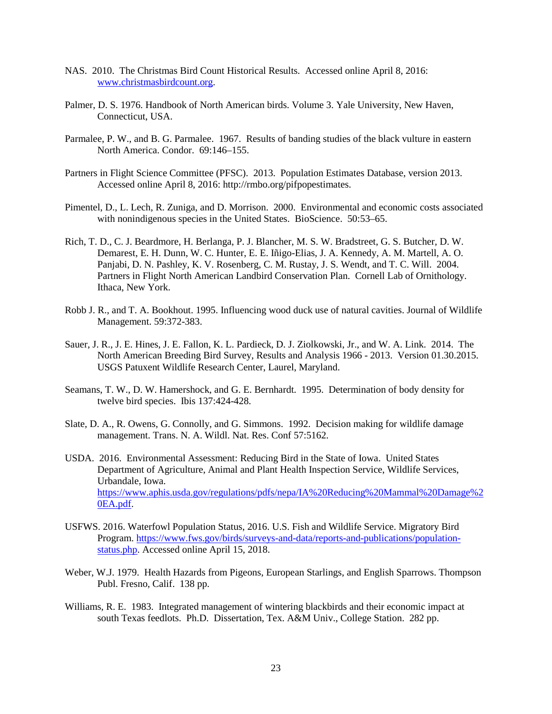- NAS. 2010. The Christmas Bird Count Historical Results. Accessed online April 8, 2016: [www.christmasbirdcount.org.](http://www.christmasbirdcount.org/)
- Palmer, D. S. 1976. Handbook of North American birds. Volume 3. Yale University, New Haven, Connecticut, USA.
- Parmalee, P. W., and B. G. Parmalee. 1967. Results of banding studies of the black vulture in eastern North America. Condor. 69:146–155.
- Partners in Flight Science Committee (PFSC). 2013. Population Estimates Database, version 2013. Accessed online April 8, 2016: http://rmbo.org/pifpopestimates.
- Pimentel, D., L. Lech, R. Zuniga, and D. Morrison. 2000. Environmental and economic costs associated with nonindigenous species in the United States. BioScience. 50:53–65.
- Rich, T. D., C. J. Beardmore, H. Berlanga, P. J. Blancher, M. S. W. Bradstreet, G. S. Butcher, D. W. Demarest, E. H. Dunn, W. C. Hunter, E. E. Iñigo-Elias, J. A. Kennedy, A. M. Martell, A. O. Panjabi, D. N. Pashley, K. V. Rosenberg, C. M. Rustay, J. S. Wendt, and T. C. Will. 2004. Partners in Flight North American Landbird Conservation Plan. Cornell Lab of Ornithology. Ithaca, New York.
- Robb J. R., and T. A. Bookhout. 1995. Influencing wood duck use of natural cavities. Journal of Wildlife Management. 59:372-383.
- Sauer, J. R., J. E. Hines, J. E. Fallon, K. L. Pardieck, D. J. Ziolkowski, Jr., and W. A. Link. 2014. The North American Breeding Bird Survey, Results and Analysis 1966 - 2013. Version 01.30.2015. USGS Patuxent Wildlife Research Center, Laurel, Maryland.
- Seamans, T. W., D. W. Hamershock, and G. E. Bernhardt. 1995. Determination of body density for twelve bird species. Ibis 137:424-428.
- Slate, D. A., R. Owens, G. Connolly, and G. Simmons. 1992. Decision making for wildlife damage management. Trans. N. A. Wildl. Nat. Res. Conf 57:5162.
- USDA. 2016. Environmental Assessment: Reducing Bird in the State of Iowa. United States Department of Agriculture, Animal and Plant Health Inspection Service, Wildlife Services, Urbandale, Iowa. [https://www.aphis.usda.gov/regulations/pdfs/nepa/IA%20Reducing%20Mammal%20Damage%2](https://www.aphis.usda.gov/regulations/pdfs/nepa/IA%20Reducing%20Mammal%20Damage%20EA.pdf) [0EA.pdf.](https://www.aphis.usda.gov/regulations/pdfs/nepa/IA%20Reducing%20Mammal%20Damage%20EA.pdf)
- USFWS. 2016. Waterfowl Population Status, 2016. U.S. Fish and Wildlife Service. Migratory Bird Program. [https://www.fws.gov/birds/surveys-and-data/reports-and-publications/population](https://www.fws.gov/birds/surveys-and-data/reports-and-publications/population-status.php)[status.php.](https://www.fws.gov/birds/surveys-and-data/reports-and-publications/population-status.php) Accessed online April 15, 2018.
- Weber, W.J. 1979. Health Hazards from Pigeons, European Starlings, and English Sparrows. Thompson Publ. Fresno, Calif. 138 pp.
- Williams, R. E. 1983. Integrated management of wintering blackbirds and their economic impact at south Texas feedlots. Ph.D. Dissertation, Tex. A&M Univ., College Station. 282 pp.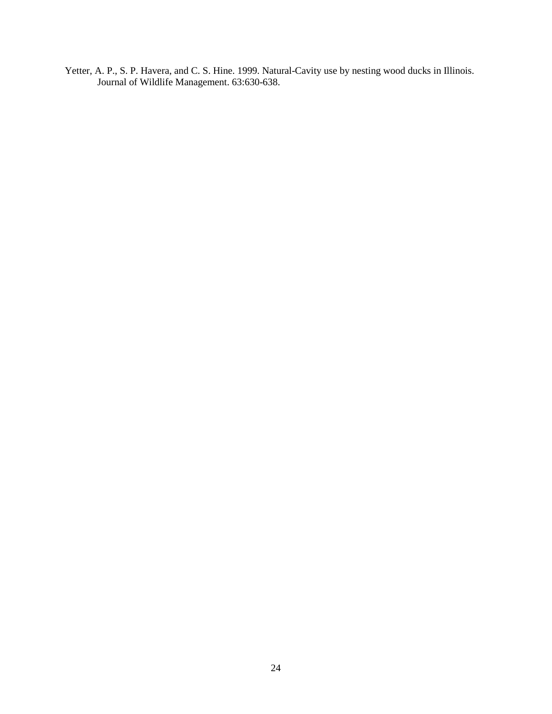Yetter, A. P., S. P. Havera, and C. S. Hine. 1999. Natural-Cavity use by nesting wood ducks in Illinois. Journal of Wildlife Management. 63:630-638.